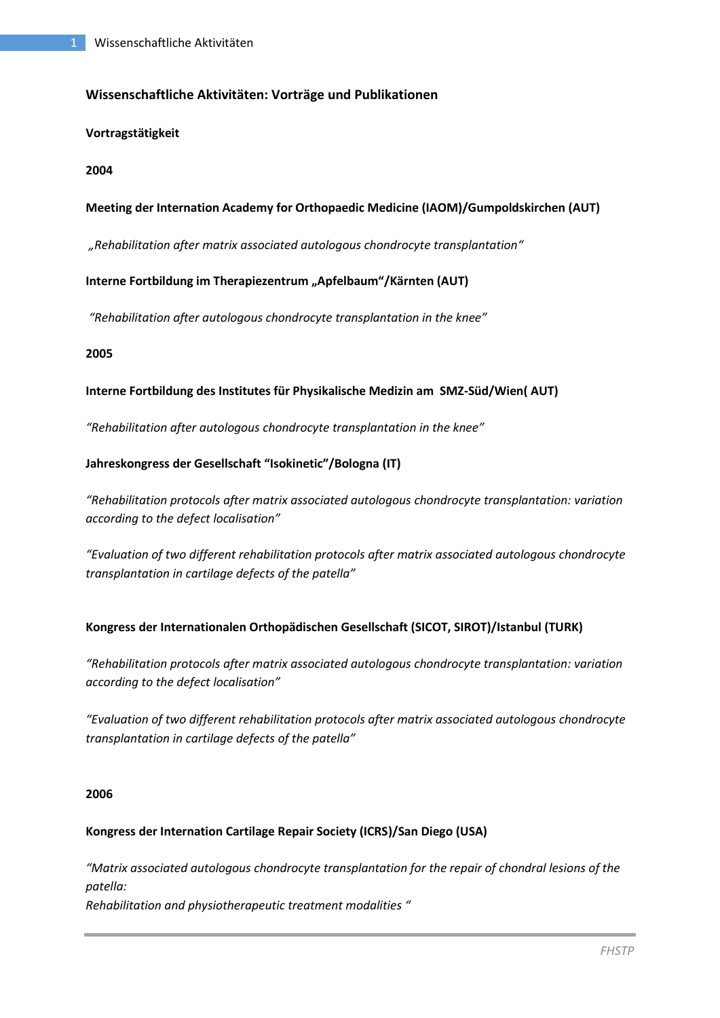# **Wissenschaftliche Aktivitäten: Vorträge und Publikationen**

### **Vortragstätigkeit**

### **2004**

# **Meeting der Internation Academy for Orthopaedic Medicine (IAOM)/Gumpoldskirchen (AUT)**

*"Rehabilitation after matrix associated autologous chondrocyte transplantation"*

### Interne Fortbildung im Therapiezentrum "Apfelbaum"/Kärnten (AUT)

*"Rehabilitation after autologous chondrocyte transplantation in the knee"*

### **2005**

### **Interne Fortbildung des Institutes für Physikalische Medizin am SMZ-Süd/Wien( AUT)**

*"Rehabilitation after autologous chondrocyte transplantation in the knee"*

### **Jahreskongress der Gesellschaft "Isokinetic"/Bologna (IT)**

*"Rehabilitation protocols after matrix associated autologous chondrocyte transplantation: variation according to the defect localisation"*

*"Evaluation of two different rehabilitation protocols after matrix associated autologous chondrocyte transplantation in cartilage defects of the patella"*

### **Kongress der Internationalen Orthopädischen Gesellschaft (SICOT, SIROT)/Istanbul (TURK)**

*"Rehabilitation protocols after matrix associated autologous chondrocyte transplantation: variation according to the defect localisation"*

*"Evaluation of two different rehabilitation protocols after matrix associated autologous chondrocyte transplantation in cartilage defects of the patella"*

#### **2006**

# **Kongress der Internation Cartilage Repair Society (ICRS)/San Diego (USA)**

*"Matrix associated autologous chondrocyte transplantation for the repair of chondral lesions of the patella: Rehabilitation and physiotherapeutic treatment modalities "*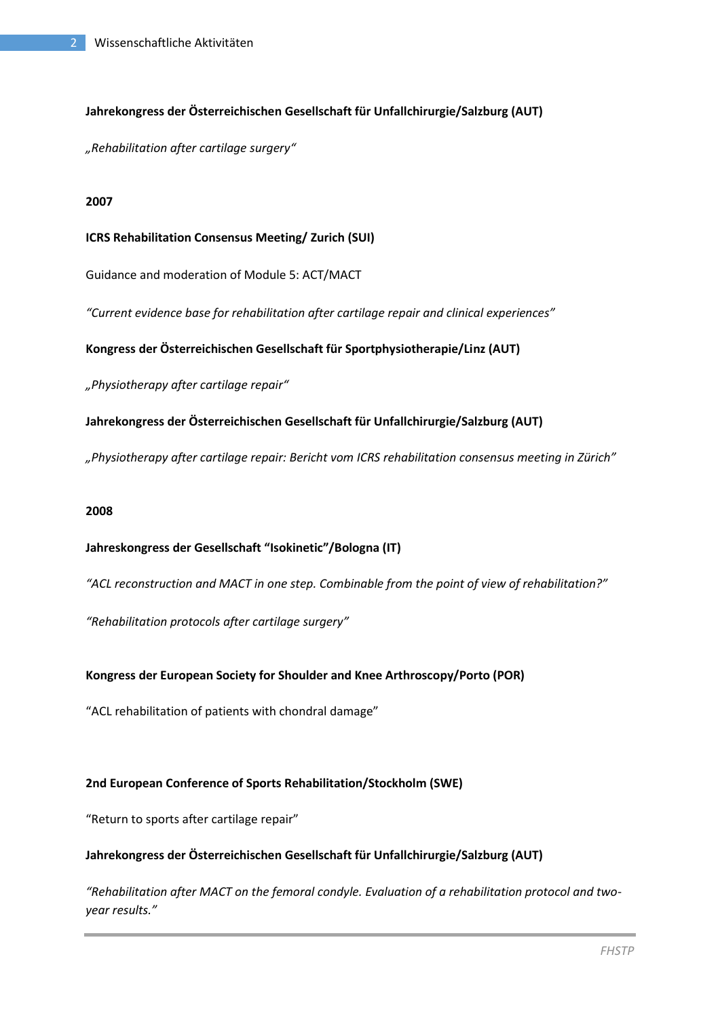# **Jahrekongress der Österreichischen Gesellschaft für Unfallchirurgie/Salzburg (AUT)**

*"Rehabilitation after cartilage surgery"*

#### **2007**

#### **ICRS Rehabilitation Consensus Meeting/ Zurich (SUI)**

Guidance and moderation of Module 5: ACT/MACT

*"Current evidence base for rehabilitation after cartilage repair and clinical experiences"*

### **Kongress der Österreichischen Gesellschaft für Sportphysiotherapie/Linz (AUT)**

*"Physiotherapy after cartilage repair"*

# **Jahrekongress der Österreichischen Gesellschaft für Unfallchirurgie/Salzburg (AUT)**

*"Physiotherapy after cartilage repair: Bericht vom ICRS rehabilitation consensus meeting in Zürich"*

#### **2008**

# **Jahreskongress der Gesellschaft "Isokinetic"/Bologna (IT)**

*"ACL reconstruction and MACT in one step. Combinable from the point of view of rehabilitation?"*

*"Rehabilitation protocols after cartilage surgery"*

### **Kongress der European Society for Shoulder and Knee Arthroscopy/Porto (POR)**

"ACL rehabilitation of patients with chondral damage"

### **2nd European Conference of Sports Rehabilitation/Stockholm (SWE)**

"Return to sports after cartilage repair"

### **Jahrekongress der Österreichischen Gesellschaft für Unfallchirurgie/Salzburg (AUT)**

*"Rehabilitation after MACT on the femoral condyle. Evaluation of a rehabilitation protocol and twoyear results."*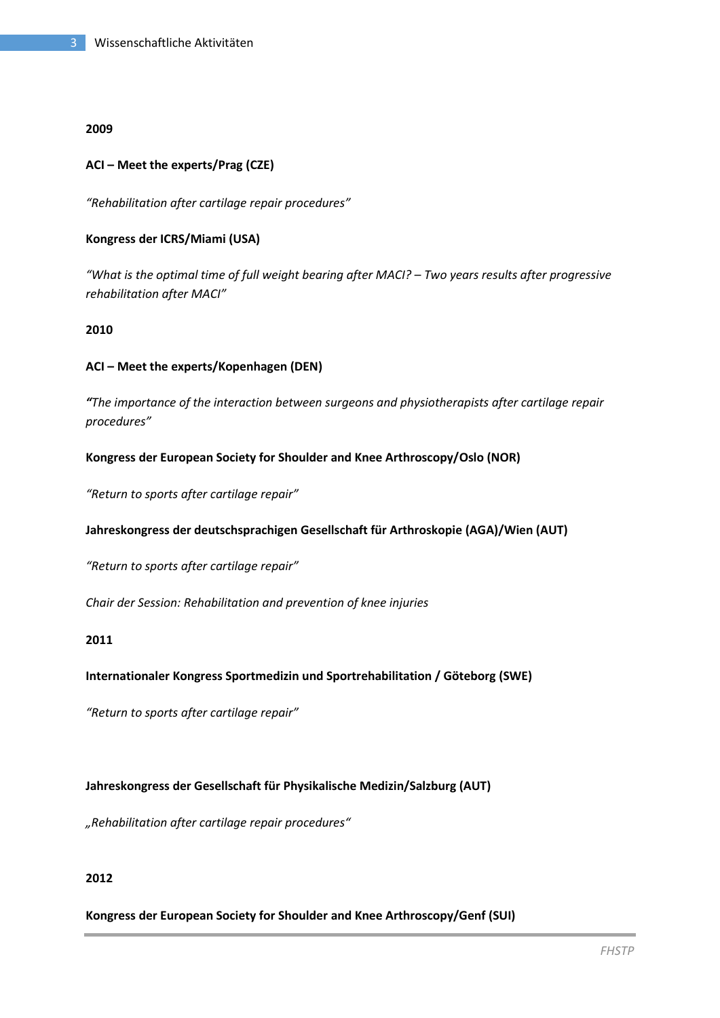#### **2009**

### **ACI – Meet the experts/Prag (CZE)**

*"Rehabilitation after cartilage repair procedures"*

### **Kongress der ICRS/Miami (USA)**

*"What is the optimal time of full weight bearing after MACI? – Two years results after progressive rehabilitation after MACI"*

### **2010**

### **ACI – Meet the experts/Kopenhagen (DEN)**

*"The importance of the interaction between surgeons and physiotherapists after cartilage repair procedures"*

### **Kongress der European Society for Shoulder and Knee Arthroscopy/Oslo (NOR)**

*"Return to sports after cartilage repair"*

### **Jahreskongress der deutschsprachigen Gesellschaft für Arthroskopie (AGA)/Wien (AUT)**

*"Return to sports after cartilage repair"*

*Chair der Session: Rehabilitation and prevention of knee injuries*

#### **2011**

### **Internationaler Kongress Sportmedizin und Sportrehabilitation / Göteborg (SWE)**

*"Return to sports after cartilage repair"*

### **Jahreskongress der Gesellschaft für Physikalische Medizin/Salzburg (AUT)**

*"Rehabilitation after cartilage repair procedures"*

### **2012**

### **Kongress der European Society for Shoulder and Knee Arthroscopy/Genf (SUI)**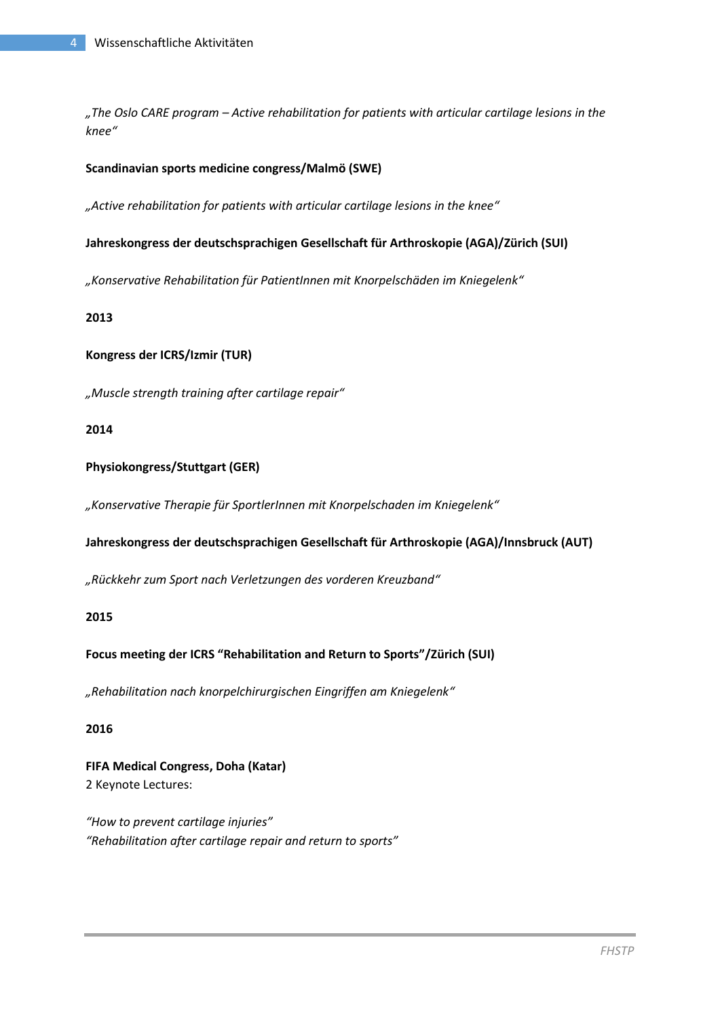*"The Oslo CARE program – Active rehabilitation for patients with articular cartilage lesions in the knee"*

### **Scandinavian sports medicine congress/Malmö (SWE)**

*"Active rehabilitation for patients with articular cartilage lesions in the knee"*

#### **Jahreskongress der deutschsprachigen Gesellschaft für Arthroskopie (AGA)/Zürich (SUI)**

*"Konservative Rehabilitation für PatientInnen mit Knorpelschäden im Kniegelenk"*

#### **2013**

### **Kongress der ICRS/Izmir (TUR)**

*"Muscle strength training after cartilage repair"*

### **2014**

### **Physiokongress/Stuttgart (GER)**

*"Konservative Therapie für SportlerInnen mit Knorpelschaden im Kniegelenk"*

### **Jahreskongress der deutschsprachigen Gesellschaft für Arthroskopie (AGA)/Innsbruck (AUT)**

*"Rückkehr zum Sport nach Verletzungen des vorderen Kreuzband"*

### **2015**

### **Focus meeting der ICRS "Rehabilitation and Return to Sports"/Zürich (SUI)**

*"Rehabilitation nach knorpelchirurgischen Eingriffen am Kniegelenk"*

### **2016**

**FIFA Medical Congress, Doha (Katar)** 2 Keynote Lectures:

*"How to prevent cartilage injuries" "Rehabilitation after cartilage repair and return to sports"*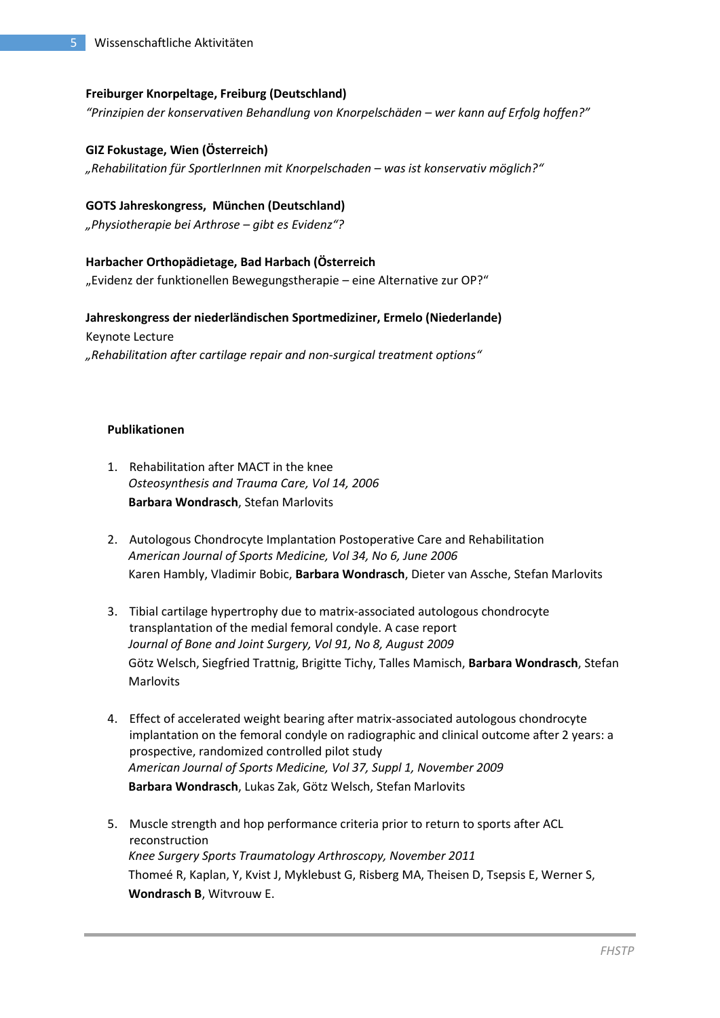### **Freiburger Knorpeltage, Freiburg (Deutschland)**

*"Prinzipien der konservativen Behandlung von Knorpelschäden – wer kann auf Erfolg hoffen?"*

#### **GIZ Fokustage, Wien (Österreich)**

*"Rehabilitation für SportlerInnen mit Knorpelschaden – was ist konservativ möglich?"*

#### **GOTS Jahreskongress, München (Deutschland)**

*"Physiotherapie bei Arthrose – gibt es Evidenz"?*

### **Harbacher Orthopädietage, Bad Harbach (Österreich**

"Evidenz der funktionellen Bewegungstherapie – eine Alternative zur OP?"

### **Jahreskongress der niederländischen Sportmediziner, Ermelo (Niederlande)**

Keynote Lecture *"Rehabilitation after cartilage repair and non-surgical treatment options"*

### **Publikationen**

- 1. Rehabilitation after MACT in the knee *Osteosynthesis and Trauma Care, Vol 14, 2006* **Barbara Wondrasch**, Stefan Marlovits
- 2. Autologous Chondrocyte Implantation Postoperative Care and Rehabilitation *American Journal of Sports Medicine, Vol 34, No 6, June 2006* Karen Hambly, Vladimir Bobic, **Barbara Wondrasch**, Dieter van Assche, Stefan Marlovits
- 3. Tibial cartilage hypertrophy due to matrix-associated autologous chondrocyte transplantation of the medial femoral condyle. A case report *Journal of Bone and Joint Surgery, Vol 91, No 8, August 2009* Götz Welsch, Siegfried Trattnig, Brigitte Tichy, Talles Mamisch, **Barbara Wondrasch**, Stefan Marlovits
- 4. Effect of accelerated weight bearing after matrix-associated autologous chondrocyte implantation on the femoral condyle on radiographic and clinical outcome after 2 years: a prospective, randomized controlled pilot study *American Journal of Sports Medicine, Vol 37, Suppl 1, November 2009* **Barbara Wondrasch**, Lukas Zak, Götz Welsch, Stefan Marlovits
- 5. Muscle strength and hop performance criteria prior to return to sports after ACL reconstruction *Knee Surgery Sports Traumatology Arthroscopy, November 2011* Thomeé R, Kaplan, Y, Kvist J, Myklebust G, Risberg MA, Theisen D, Tsepsis E, Werner S, **Wondrasch B**, Witvrouw E.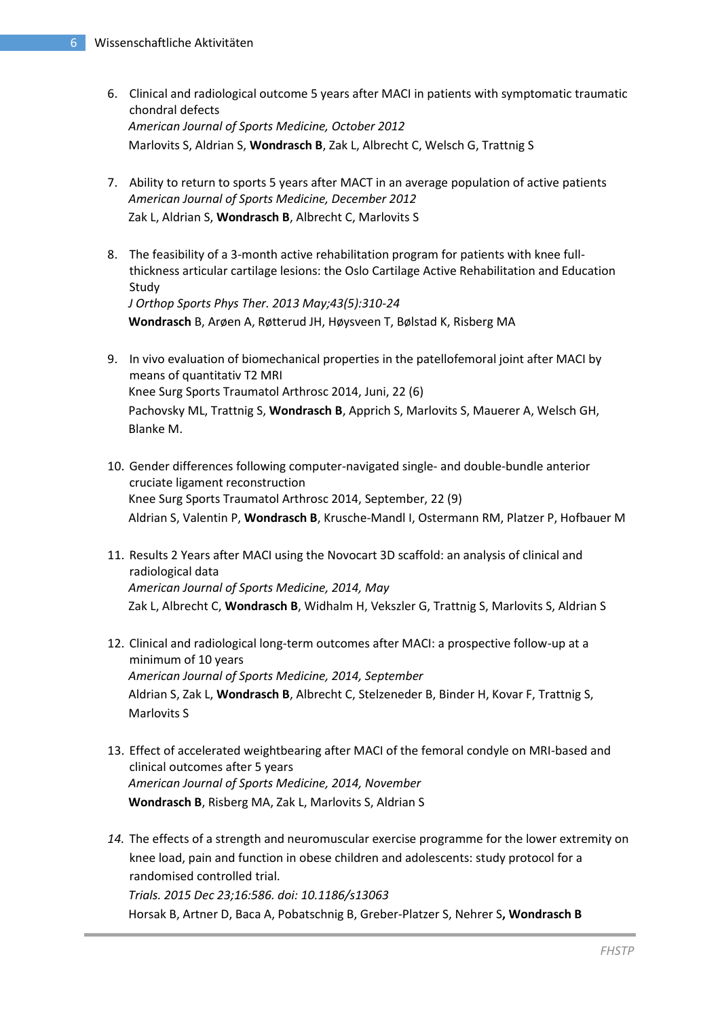- 6. Clinical and radiological outcome 5 years after MACI in patients with symptomatic traumatic chondral defects *American Journal of Sports Medicine, October 2012* Marlovits S, Aldrian S, **Wondrasch B**, Zak L, Albrecht C, Welsch G, Trattnig S
- 7. Ability to return to sports 5 years after MACT in an average population of active patients *American Journal of Sports Medicine, December 2012* Zak L, Aldrian S, **Wondrasch B**, Albrecht C, Marlovits S
- 8. The feasibility of a 3-month active rehabilitation program for patients with knee fullthickness articular cartilage lesions: the Oslo Cartilage Active Rehabilitation and Education Study *J Orthop Sports Phys Ther. 2013 May;43(5):310-24* **Wondrasch** B, Arøen A, Røtterud JH, Høysveen T, Bølstad K, Risberg MA
- 9. In vivo evaluation of biomechanical properties in the patellofemoral joint after MACI by means of quantitativ T2 MRI Knee Surg Sports Traumatol Arthrosc 2014, Juni, 22 (6) Pachovsky ML, Trattnig S, **Wondrasch B**, Apprich S, Marlovits S, Mauerer A, Welsch GH, Blanke M.
- 10. Gender differences following computer-navigated single- and double-bundle anterior cruciate ligament reconstruction Knee Surg Sports Traumatol Arthrosc 2014, September, 22 (9) Aldrian S, Valentin P, **Wondrasch B**, Krusche-Mandl I, Ostermann RM, Platzer P, Hofbauer M
- 11. Results 2 Years after MACI using the Novocart 3D scaffold: an analysis of clinical and radiological data *American Journal of Sports Medicine, 2014, May* Zak L, Albrecht C, **Wondrasch B**, Widhalm H, Vekszler G, Trattnig S, Marlovits S, Aldrian S
- 12. Clinical and radiological long-term outcomes after MACI: a prospective follow-up at a minimum of 10 years *American Journal of Sports Medicine, 2014, September* Aldrian S, Zak L, **Wondrasch B**, Albrecht C, Stelzeneder B, Binder H, Kovar F, Trattnig S, Marlovits S
- 13. Effect of accelerated weightbearing after MACI of the femoral condyle on MRI-based and clinical outcomes after 5 years *American Journal of Sports Medicine, 2014, November* **Wondrasch B**, Risberg MA, Zak L, Marlovits S, Aldrian S
- *14.* The effects of a strength and neuromuscular exercise programme for the lower extremity on knee load, pain and function in obese children and adolescents: study protocol for a randomised controlled trial. *Trials. 2015 Dec 23;16:586. doi: 10.1186/s13063* Horsak B, Artner D, Baca A, Pobatschnig B, Greber-Platzer S, Nehrer S**, Wondrasch B**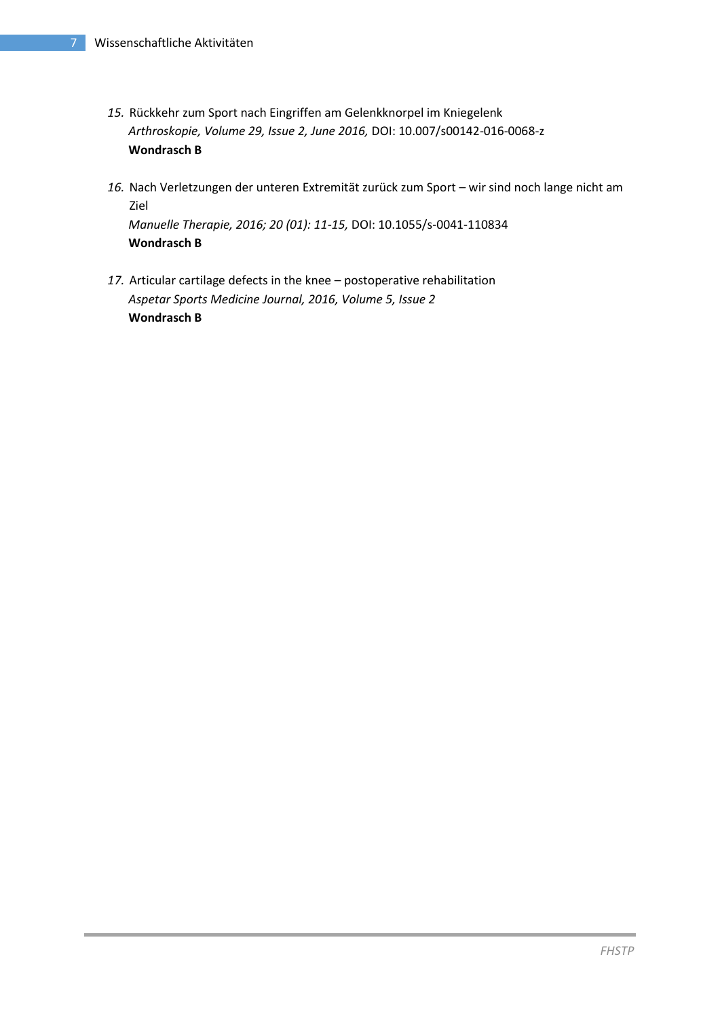- *15.* Rückkehr zum Sport nach Eingriffen am Gelenkknorpel im Kniegelenk *Arthroskopie, Volume 29, Issue 2, June 2016,* DOI: 10.007/s00142-016-0068-z **Wondrasch B**
- *16.* Nach Verletzungen der unteren Extremität zurück zum Sport wir sind noch lange nicht am Ziel *Manuelle Therapie, 2016; 20 (01): 11-15,* DOI: 10.1055/s-0041-110834 **Wondrasch B**
- *17.* Articular cartilage defects in the knee postoperative rehabilitation *Aspetar Sports Medicine Journal, 2016, Volume 5, Issue 2* **Wondrasch B**